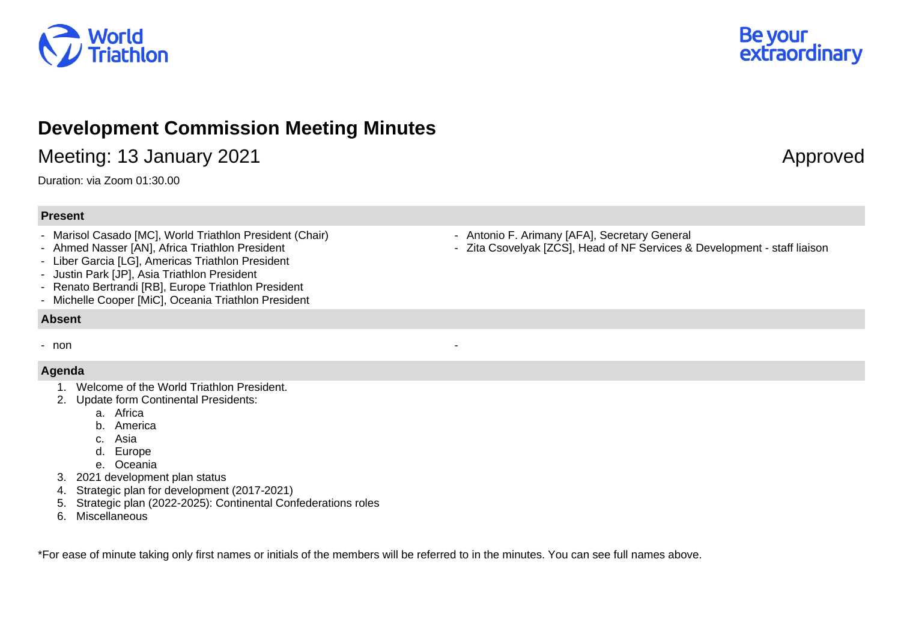



## **Development Commission Meeting Minutes**

Meeting: 13 January 2021 **Approved** 

Duration: via Zoom 01:30.00

## **Present**

- Marisol Casado [MC], World Triathlon President (Chair)
- Ahmed Nasser [AN], Africa Triathlon President
- Liber Garcia [LG], Americas Triathlon President
- Justin Park [JP], Asia Triathlon President
- Renato Bertrandi [RB], Europe Triathlon President
- Michelle Cooper [MiC], Oceania Triathlon President

## **Absent**

- non **-** non **-** non **-** non **-** non **-** non **-** non **-** non **-** non **-** non **-** non **-**

## **Agenda**

- 1. Welcome of the World Triathlon President.
- 2. Update form Continental Presidents:
	- a. Africa
	- b. America
	- c. Asia
	- d. Europe
	- e. Oceania
- 3. 2021 development plan status
- 4. Strategic plan for development (2017-2021)
- 5. Strategic plan (2022-2025): Continental Confederations roles
- 6. Miscellaneous

\*For ease of minute taking only first names or initials of the members will be referred to in the minutes. You can see full names above.

- Antonio F. Arimany [AFA], Secretary General
- Zita Csovelyak [ZCS], Head of NF Services & Development staff liaison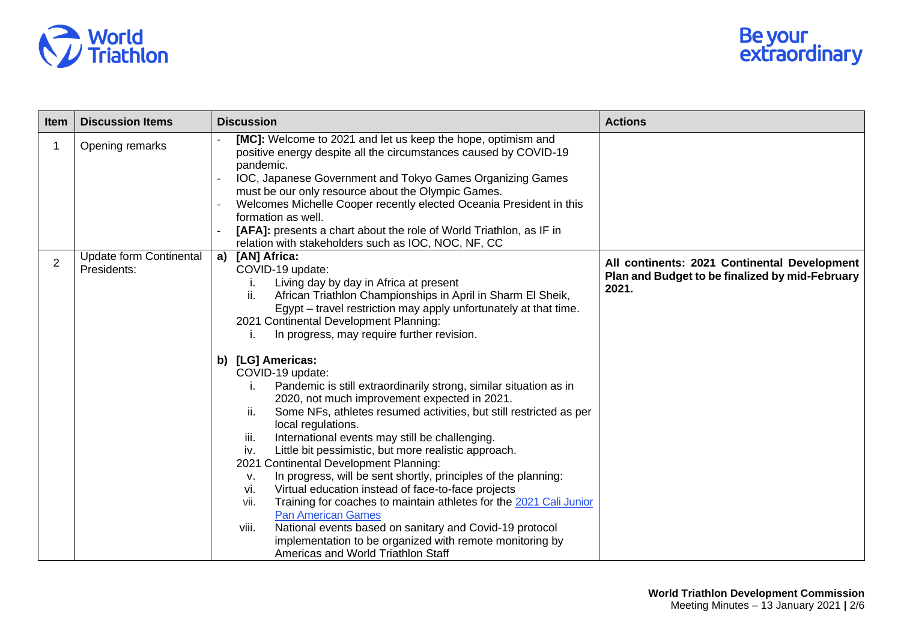

| Item           | <b>Discussion Items</b>                       | <b>Discussion</b>                                                                                                                                                                                                                                                                                                                                                                                                                                                                                                                                                                                                                                                                                                                                                                                                                                                                                                                                                                                                                                                                                                                                                            | <b>Actions</b>                                                                                           |
|----------------|-----------------------------------------------|------------------------------------------------------------------------------------------------------------------------------------------------------------------------------------------------------------------------------------------------------------------------------------------------------------------------------------------------------------------------------------------------------------------------------------------------------------------------------------------------------------------------------------------------------------------------------------------------------------------------------------------------------------------------------------------------------------------------------------------------------------------------------------------------------------------------------------------------------------------------------------------------------------------------------------------------------------------------------------------------------------------------------------------------------------------------------------------------------------------------------------------------------------------------------|----------------------------------------------------------------------------------------------------------|
|                | Opening remarks                               | [MC]: Welcome to 2021 and let us keep the hope, optimism and<br>positive energy despite all the circumstances caused by COVID-19<br>pandemic.<br>IOC, Japanese Government and Tokyo Games Organizing Games<br>$\sim$<br>must be our only resource about the Olympic Games.<br>Welcomes Michelle Cooper recently elected Oceania President in this<br>formation as well.<br>[AFA]: presents a chart about the role of World Triathlon, as IF in<br>relation with stakeholders such as IOC, NOC, NF, CC                                                                                                                                                                                                                                                                                                                                                                                                                                                                                                                                                                                                                                                                        |                                                                                                          |
| $\overline{2}$ | <b>Update form Continental</b><br>Presidents: | a)<br>[AN] Africa:<br>COVID-19 update:<br>Living day by day in Africa at present<br>ii.<br>African Triathlon Championships in April in Sharm El Sheik,<br>Egypt – travel restriction may apply unfortunately at that time.<br>2021 Continental Development Planning:<br>In progress, may require further revision.<br>b) [LG] Americas:<br>COVID-19 update:<br>Pandemic is still extraordinarily strong, similar situation as in<br>2020, not much improvement expected in 2021.<br>Some NFs, athletes resumed activities, but still restricted as per<br>ii.<br>local regulations.<br>International events may still be challenging.<br>iii.<br>Little bit pessimistic, but more realistic approach.<br>iv.<br>2021 Continental Development Planning:<br>In progress, will be sent shortly, principles of the planning:<br>V.<br>Virtual education instead of face-to-face projects<br>vi.<br>Training for coaches to maintain athletes for the 2021 Cali Junior<br>vii.<br><b>Pan American Games</b><br>National events based on sanitary and Covid-19 protocol<br>viii.<br>implementation to be organized with remote monitoring by<br>Americas and World Triathlon Staff | All continents: 2021 Continental Development<br>Plan and Budget to be finalized by mid-February<br>2021. |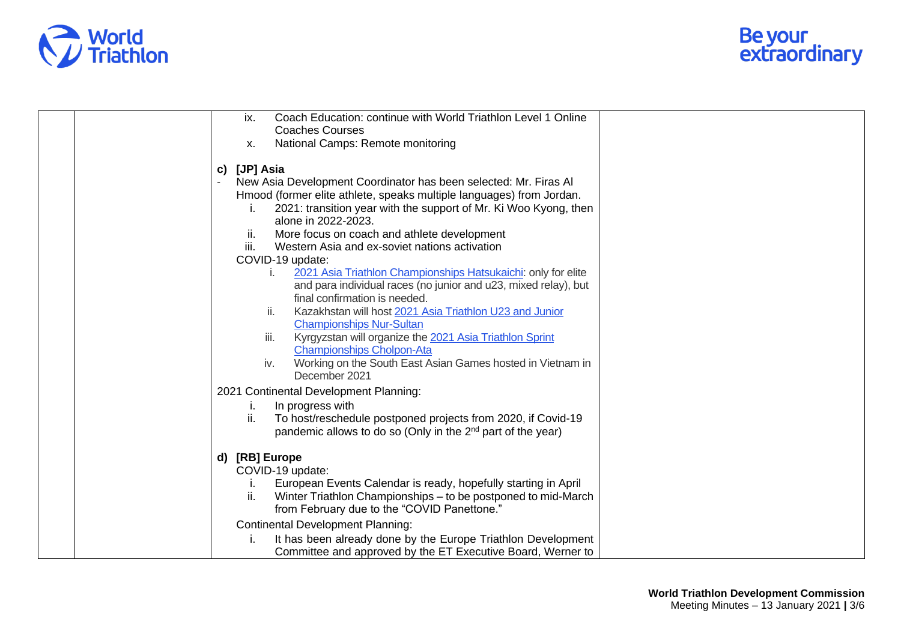

| Coach Education: continue with World Triathlon Level 1 Online<br>ix.<br><b>Coaches Courses</b>                                                                                                                                                                                                                                                                                                                                                                                                                                                                                                                                                                                                                                                                                                                                                    |
|---------------------------------------------------------------------------------------------------------------------------------------------------------------------------------------------------------------------------------------------------------------------------------------------------------------------------------------------------------------------------------------------------------------------------------------------------------------------------------------------------------------------------------------------------------------------------------------------------------------------------------------------------------------------------------------------------------------------------------------------------------------------------------------------------------------------------------------------------|
| National Camps: Remote monitoring<br><b>X.</b>                                                                                                                                                                                                                                                                                                                                                                                                                                                                                                                                                                                                                                                                                                                                                                                                    |
| c) [JP] Asia<br>New Asia Development Coordinator has been selected: Mr. Firas Al<br>Hmood (former elite athlete, speaks multiple languages) from Jordan.<br>2021: transition year with the support of Mr. Ki Woo Kyong, then<br>alone in 2022-2023.<br>More focus on coach and athlete development<br>Ш.<br>iii.<br>Western Asia and ex-soviet nations activation<br>COVID-19 update:<br>2021 Asia Triathlon Championships Hatsukaichi: only for elite<br>İ.<br>and para individual races (no junior and u23, mixed relay), but<br>final confirmation is needed.<br>Kazakhstan will host 2021 Asia Triathlon U23 and Junior<br>ii.<br><b>Championships Nur-Sultan</b><br>iii.<br>Kyrgyzstan will organize the 2021 Asia Triathlon Sprint<br><b>Championships Cholpon-Ata</b><br>Working on the South East Asian Games hosted in Vietnam in<br>iv. |
| December 2021                                                                                                                                                                                                                                                                                                                                                                                                                                                                                                                                                                                                                                                                                                                                                                                                                                     |
| 2021 Continental Development Planning:<br>In progress with<br>Τ.<br>To host/reschedule postponed projects from 2020, if Covid-19<br>ii.<br>pandemic allows to do so (Only in the 2 <sup>nd</sup> part of the year)                                                                                                                                                                                                                                                                                                                                                                                                                                                                                                                                                                                                                                |
| d) [RB] Europe<br>COVID-19 update:<br>European Events Calendar is ready, hopefully starting in April<br>Winter Triathlon Championships – to be postponed to mid-March<br>ii.<br>from February due to the "COVID Panettone."                                                                                                                                                                                                                                                                                                                                                                                                                                                                                                                                                                                                                       |
| <b>Continental Development Planning:</b><br>It has been already done by the Europe Triathlon Development<br>Committee and approved by the ET Executive Board, Werner to                                                                                                                                                                                                                                                                                                                                                                                                                                                                                                                                                                                                                                                                           |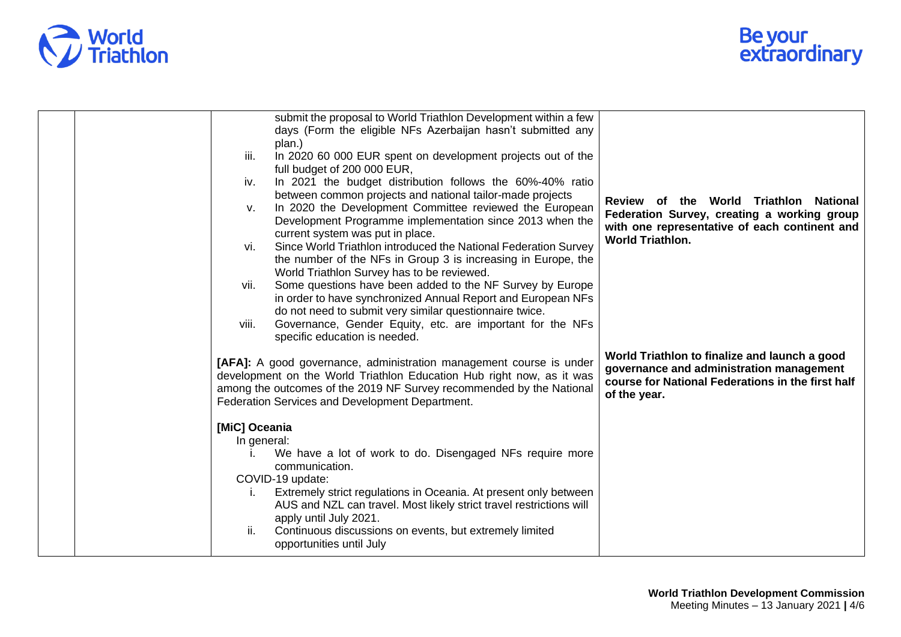

|  | submit the proposal to World Triathlon Development within a few<br>days (Form the eligible NFs Azerbaijan hasn't submitted any<br>plan.)<br>In 2020 60 000 EUR spent on development projects out of the<br>iii.<br>full budget of 200 000 EUR,<br>In 2021 the budget distribution follows the 60%-40% ratio<br>iv.<br>between common projects and national tailor-made projects<br>In 2020 the Development Committee reviewed the European<br>V.<br>Development Programme implementation since 2013 when the<br>current system was put in place.<br>Since World Triathlon introduced the National Federation Survey<br>vi.<br>the number of the NFs in Group 3 is increasing in Europe, the<br>World Triathlon Survey has to be reviewed.<br>Some questions have been added to the NF Survey by Europe<br>vii.<br>in order to have synchronized Annual Report and European NFs<br>do not need to submit very similar questionnaire twice.<br>Governance, Gender Equity, etc. are important for the NFs<br>viii.<br>specific education is needed. | Review of the World Triathlon National<br>Federation Survey, creating a working group<br>with one representative of each continent and<br><b>World Triathlon.</b> |
|--|--------------------------------------------------------------------------------------------------------------------------------------------------------------------------------------------------------------------------------------------------------------------------------------------------------------------------------------------------------------------------------------------------------------------------------------------------------------------------------------------------------------------------------------------------------------------------------------------------------------------------------------------------------------------------------------------------------------------------------------------------------------------------------------------------------------------------------------------------------------------------------------------------------------------------------------------------------------------------------------------------------------------------------------------------|-------------------------------------------------------------------------------------------------------------------------------------------------------------------|
|  | [AFA]: A good governance, administration management course is under<br>development on the World Triathlon Education Hub right now, as it was<br>among the outcomes of the 2019 NF Survey recommended by the National<br>Federation Services and Development Department.                                                                                                                                                                                                                                                                                                                                                                                                                                                                                                                                                                                                                                                                                                                                                                          | World Triathlon to finalize and launch a good<br>governance and administration management<br>course for National Federations in the first half<br>of the year.    |
|  | [MiC] Oceania<br>In general:<br>We have a lot of work to do. Disengaged NFs require more<br>communication.<br>COVID-19 update:<br>Extremely strict regulations in Oceania. At present only between<br>Τ.<br>AUS and NZL can travel. Most likely strict travel restrictions will<br>apply until July 2021.<br>ii.<br>Continuous discussions on events, but extremely limited<br>opportunities until July                                                                                                                                                                                                                                                                                                                                                                                                                                                                                                                                                                                                                                          |                                                                                                                                                                   |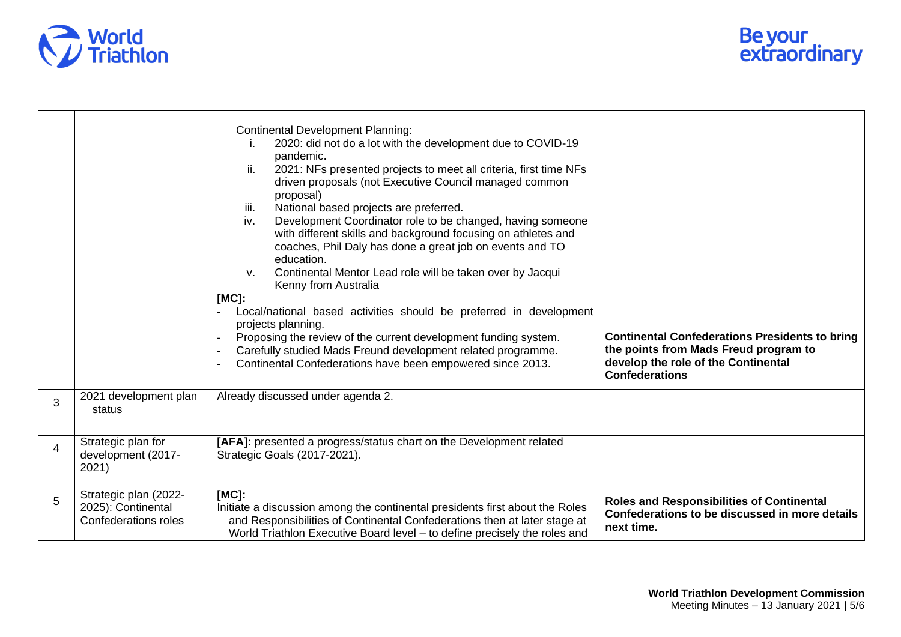

|                |                                                                     | <b>Continental Development Planning:</b><br>2020: did not do a lot with the development due to COVID-19<br>pandemic.<br>2021: NFs presented projects to meet all criteria, first time NFs<br>ii.<br>driven proposals (not Executive Council managed common<br>proposal)<br>National based projects are preferred.<br>iii.<br>Development Coordinator role to be changed, having someone<br>iv.<br>with different skills and background focusing on athletes and<br>coaches, Phil Daly has done a great job on events and TO<br>education.<br>Continental Mentor Lead role will be taken over by Jacqui<br>ν.<br>Kenny from Australia<br>$[MC]$ :<br>Local/national based activities should be preferred in development<br>projects planning.<br>Proposing the review of the current development funding system.<br>Carefully studied Mads Freund development related programme.<br>Continental Confederations have been empowered since 2013. | <b>Continental Confederations Presidents to bring</b><br>the points from Mads Freud program to<br>develop the role of the Continental<br><b>Confederations</b> |
|----------------|---------------------------------------------------------------------|-----------------------------------------------------------------------------------------------------------------------------------------------------------------------------------------------------------------------------------------------------------------------------------------------------------------------------------------------------------------------------------------------------------------------------------------------------------------------------------------------------------------------------------------------------------------------------------------------------------------------------------------------------------------------------------------------------------------------------------------------------------------------------------------------------------------------------------------------------------------------------------------------------------------------------------------------|----------------------------------------------------------------------------------------------------------------------------------------------------------------|
| 3              | 2021 development plan<br>status                                     | Already discussed under agenda 2.                                                                                                                                                                                                                                                                                                                                                                                                                                                                                                                                                                                                                                                                                                                                                                                                                                                                                                             |                                                                                                                                                                |
| $\overline{4}$ | Strategic plan for<br>development (2017-<br>2021)                   | [AFA]: presented a progress/status chart on the Development related<br>Strategic Goals (2017-2021).                                                                                                                                                                                                                                                                                                                                                                                                                                                                                                                                                                                                                                                                                                                                                                                                                                           |                                                                                                                                                                |
| 5              | Strategic plan (2022-<br>2025): Continental<br>Confederations roles | [MC]:<br>Initiate a discussion among the continental presidents first about the Roles<br>and Responsibilities of Continental Confederations then at later stage at<br>World Triathlon Executive Board level - to define precisely the roles and                                                                                                                                                                                                                                                                                                                                                                                                                                                                                                                                                                                                                                                                                               | <b>Roles and Responsibilities of Continental</b><br>Confederations to be discussed in more details<br>next time.                                               |